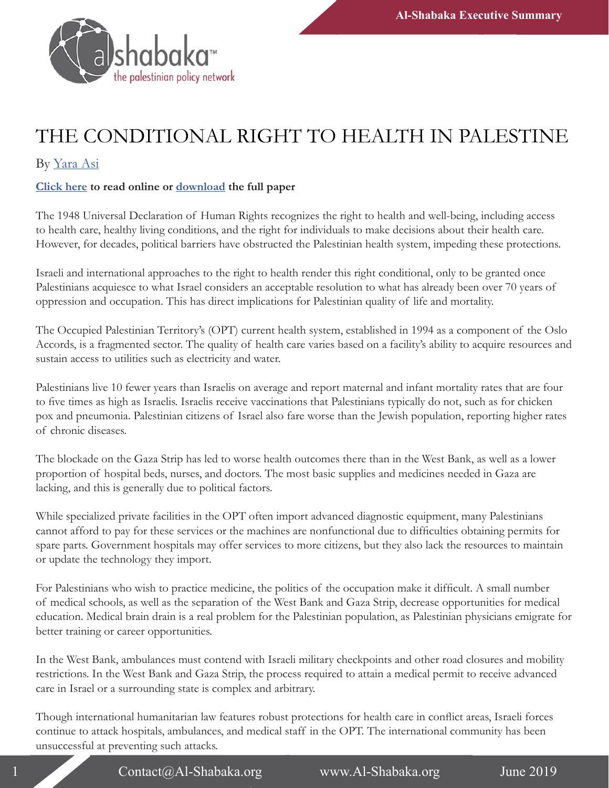

## THE CONDITIONAL RIGHT TO HEALTH IN PALESTINE

## By [Yara Asi](https://al-shabaka.org/en/author/yara-asi/)

## **[Click here](http://ow.ly/mGim50uO3vK) to read online or [download](https://al-shabaka.org/wp-content/uploads/2019/06/Asi_PolicyBrief_Eng_Jun2019.pdf) the full paper**

The 1948 Universal Declaration of Human Rights recognizes the right to health and well-being, including access to health care, healthy living conditions, and the right for individuals to make decisions about their health care. However, for decades, political barriers have obstructed the Palestinian health system, impeding these protections.

Israeli and international approaches to the right to health render this right conditional, only to be granted once Palestinians acquiesce to what Israel considers an acceptable resolution to what has already been over 70 years of oppression and occupation. This has direct implications for Palestinian quality of life and mortality.

The Occupied Palestinian Territory's (OPT) current health system, established in 1994 as a component of the Oslo Accords, is a fragmented sector. The quality of health care varies based on a facility's ability to acquire resources and sustain access to utilities such as electricity and water.

Palestinians live 10 fewer years than Israelis on average and report maternal and infant mortality rates that are four to five times as high as Israelis. Israelis receive vaccinations that Palestinians typically do not, such as for chicken pox and pneumonia. Palestinian citizens of Israel also fare worse than the Jewish population, reporting higher rates of chronic diseases.

The blockade on the Gaza Strip has led to worse health outcomes there than in the West Bank, as well as a lower proportion of hospital beds, nurses, and doctors. The most basic supplies and medicines needed in Gaza are lacking, and this is generally due to political factors.

While specialized private facilities in the OPT often import advanced diagnostic equipment, many Palestinians cannot afford to pay for these services or the machines are nonfunctional due to difficulties obtaining permits for spare parts. Government hospitals may offer services to more citizens, but they also lack the resources to maintain or update the technology they import.

For Palestinians who wish to practice medicine, the politics of the occupation make it difficult. A small number of medical schools, as well as the separation of the West Bank and Gaza Strip, decrease opportunities for medical education. Medical brain drain is a real problem for the Palestinian population, as Palestinian physicians emigrate for better training or career opportunities.

In the West Bank, ambulances must contend with Israeli military checkpoints and other road closures and mobility restrictions. In the West Bank and Gaza Strip, the process required to attain a medical permit to receive advanced care in Israel or a surrounding state is complex and arbitrary.

Though international humanitarian law features robust protections for health care in conflict areas, Israeli forces continue to attack hospitals, ambulances, and medical staff in the OPT. The international community has been unsuccessful at preventing such attacks.